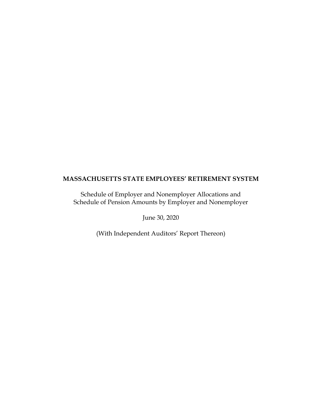Schedule of Employer and Nonemployer Allocations and Schedule of Pension Amounts by Employer and Nonemployer

June 30, 2020

(With Independent Auditors' Report Thereon)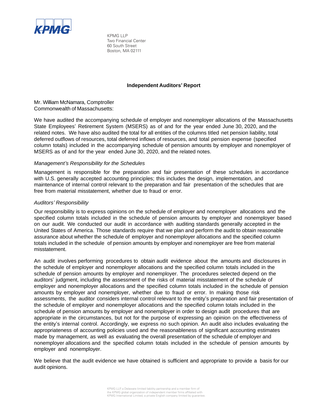

KPMG LLP Two Financial Center 60 South Street Boston, MA 02111

### **Independent Auditors' Report**

Mr. William McNamara, Comptroller Commonwealth of Massachusetts:

We have audited the accompanying schedule of employer and nonemployer allocations of the Massachusetts State Employees' Retirement System (MSERS) as of and for the year ended June 30, 2020, and the related notes. We have also audited the total for all entities of the columns titled net pension liability, total deferred outflows of resources, total deferred inflows of resources, and total pension expense (specified column totals) included in the accompanying schedule of pension amounts by employer and nonemployer of MSERS as of and for the year ended June 30, 2020, and the related notes.

# *Management's Responsibility for the Schedules*

Management is responsible for the preparation and fair presentation of these schedules in accordance with U.S. generally accepted accounting principles; this includes the design, implementation, and maintenance of internal control relevant to the preparation and fair presentation of the schedules that are free from material misstatement, whether due to fraud or error.

# *Auditors' Responsibility*

Our responsibility is to express opinions on the schedule of employer and nonemployer allocations and the specified column totals included in the schedule of pension amounts by employer and nonemployer based on our audit. We conducted our audit in accordance with auditing standards generally accepted in the United States of America. Those standards require that we plan and perform the audit to obtain reasonable assurance about whether the schedule of employer and nonemployer allocations and the specified column totals included in the schedule of pension amounts by employer and nonemployer are free from material misstatement.

An audit involves performing procedures to obtain audit evidence about the amounts and disclosures in the schedule of employer and nonemployer allocations and the specified column totals included in the schedule of pension amounts by employer and nonemployer. The procedures selected depend on the auditors' judgment, including the assessment of the risks of material misstatement of the schedule of employer and nonemployer allocations and the specified column totals included in the schedule of pension amounts by employer and nonemployer, whether due to fraud or error. In making those risk assessments, the auditor considers internal control relevant to the entity's preparation and fair presentation of the schedule of employer and nonemployer allocations and the specified column totals included in the schedule of pension amounts by employer and nonemployer in order to design audit procedures that are appropriate in the circumstances, but not for the purpose of expressing an opinion on the effectiveness of the entity's internal control. Accordingly, we express no such opinion. An audit also includes evaluating the appropriateness of accounting policies used and the reasonableness of significant accounting estimates made by management, as well as evaluating the overall presentation of the schedule of employer and nonemployer allocations and the specified column totals included in the schedule of pension amounts by employer and nonemployer.

We believe that the audit evidence we have obtained is sufficient and appropriate to provide a basis for our audit opinions.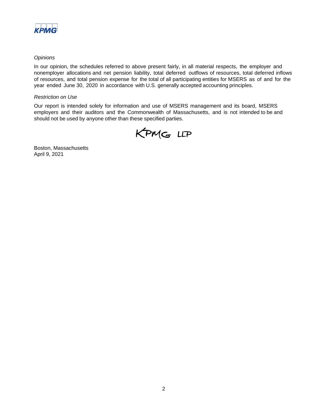

# *Opinions*

In our opinion, the schedules referred to above present fairly, in all material respects, the employer and nonemployer allocations and net pension liability, total deferred outflows of resources, total deferred inflows of resources, and total pension expense for the total of all participating entities for MSERS as of and for the year ended June 30, 2020 in accordance with U.S. generally accepted accounting principles.

### *Restriction on Use*

Our report is intended solely for information and use of MSERS management and its board, MSERS employers and their auditors and the Commonwealth of Massachusetts, and is not intended to be and should not be used by anyone other than these specified parties.



Boston, Massachusetts April 9, 2021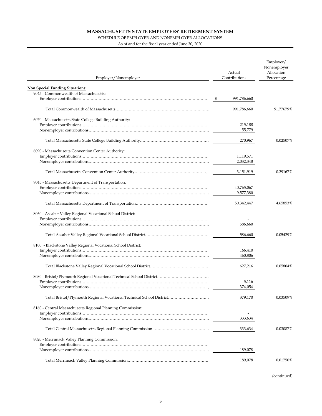### SCHEDULE OF EMPLOYER AND NONEMPLOYER ALLOCATIONS

As of and for the fiscal year ended June 30, 2020

| Employer/Nonemployer                                                 | Actual<br>Contributions | Employer/<br>Nonemployer<br>Allocation<br>Percentage |
|----------------------------------------------------------------------|-------------------------|------------------------------------------------------|
| <b>Non Special Funding Situations:</b>                               |                         |                                                      |
| 9045 - Commonwealth of Massachusetts:                                |                         |                                                      |
|                                                                      | 991,786,660             |                                                      |
|                                                                      |                         |                                                      |
|                                                                      | 991,786,660             | 91.77679%                                            |
| 6070 - Massachusetts State College Building Authority:               |                         |                                                      |
|                                                                      | 215,188                 |                                                      |
|                                                                      | 55,779                  |                                                      |
|                                                                      |                         |                                                      |
|                                                                      | 270,967                 | 0.02507%                                             |
| 6090 - Massachusetts Convention Center Authority:                    |                         |                                                      |
|                                                                      | 1,119,571               |                                                      |
|                                                                      | 2,032,348               |                                                      |
|                                                                      |                         |                                                      |
|                                                                      | 3,151,919               | 0.29167%                                             |
| 9045 - Massachusetts Department of Transportation:                   |                         |                                                      |
|                                                                      | 40,765,067              |                                                      |
|                                                                      | 9,577,380               |                                                      |
|                                                                      | 50,342,447              | 4.65853%                                             |
| 8060 - Assabet Valley Regional Vocational School District:           |                         |                                                      |
|                                                                      | 586,660                 |                                                      |
|                                                                      |                         |                                                      |
|                                                                      | 586,660                 | 0.05429%                                             |
| 8100 - Blackstone Valley Regional Vocational School District:        |                         |                                                      |
|                                                                      | 166,410                 |                                                      |
|                                                                      | 460,806                 |                                                      |
|                                                                      |                         |                                                      |
|                                                                      | 627,216                 | 0.05804%                                             |
|                                                                      |                         |                                                      |
|                                                                      | 5,116                   |                                                      |
|                                                                      | 374,054                 |                                                      |
| Total Bristol/Plymouth Regional Vocational Technical School District | 379,170                 | 0.03509%                                             |
| 8160 - Central Massachusetts Regional Planning Commission:           |                         |                                                      |
|                                                                      |                         |                                                      |
|                                                                      | 333,634                 |                                                      |
|                                                                      | 333,634                 | 0.03087%                                             |
| 8020 - Merrimack Valley Planning Commission:                         |                         |                                                      |
|                                                                      |                         |                                                      |
|                                                                      | 189,078                 |                                                      |
|                                                                      | 189,078                 | 0.01750%                                             |
|                                                                      |                         |                                                      |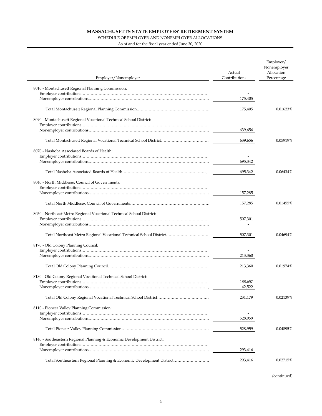### SCHEDULE OF EMPLOYER AND NONEMPLOYER ALLOCATIONS

 $\overline{a}$ 

As of and for the fiscal year ended June 30, 2020

| Employer/Nonemployer                                                   | Actual<br>Contributions | Employer/<br>Nonemployer<br>Allocation<br>Percentage |
|------------------------------------------------------------------------|-------------------------|------------------------------------------------------|
| 8010 - Montachusett Regional Planning Commission:                      |                         |                                                      |
|                                                                        |                         |                                                      |
|                                                                        | 175,405                 |                                                      |
|                                                                        |                         |                                                      |
|                                                                        | 175,405                 | 0.01623%                                             |
|                                                                        |                         |                                                      |
| 8090 - Montachusett Regional Vocational Technical School District:     |                         |                                                      |
|                                                                        | 639,656                 |                                                      |
|                                                                        |                         |                                                      |
|                                                                        | 639,656                 | 0.05919%                                             |
|                                                                        |                         |                                                      |
| 8070 - Nashoba Associated Boards of Health:                            |                         |                                                      |
|                                                                        | 695,342                 |                                                      |
|                                                                        |                         |                                                      |
|                                                                        | 695,342                 | 0.06434%                                             |
|                                                                        |                         |                                                      |
| 8040 - North Middlesex Council of Governments:                         |                         |                                                      |
|                                                                        |                         |                                                      |
|                                                                        | 157,285                 |                                                      |
|                                                                        | 157,285                 | 0.01455%                                             |
| 8030 - Northeast Metro Regional Vocational Technical School District:  |                         |                                                      |
|                                                                        | 507,301                 |                                                      |
|                                                                        |                         |                                                      |
|                                                                        | 507,301                 | 0.04694%                                             |
| 8170 - Old Colony Planning Council:                                    |                         |                                                      |
|                                                                        |                         |                                                      |
|                                                                        | 213,360                 |                                                      |
|                                                                        |                         |                                                      |
|                                                                        | 213,360                 | 0.01974%                                             |
| 8180 - Old Colony Regional Vocational Technical School District:       |                         |                                                      |
|                                                                        | 188,657                 |                                                      |
|                                                                        | 42,522                  |                                                      |
|                                                                        |                         |                                                      |
|                                                                        | 231,179                 | 0.02139%                                             |
| 8110 - Pioneer Valley Planning Commission:                             |                         |                                                      |
|                                                                        |                         |                                                      |
|                                                                        | 528,959                 |                                                      |
|                                                                        |                         |                                                      |
|                                                                        | 528,959                 | 0.04895%                                             |
| 8140 - Southeastern Regional Planning & Economic Development District: |                         |                                                      |
|                                                                        |                         |                                                      |
|                                                                        | 293,416                 |                                                      |
|                                                                        |                         |                                                      |
| Total Southeastern Regional Planning & Economic Development District   | 293,416                 | 0.02715%                                             |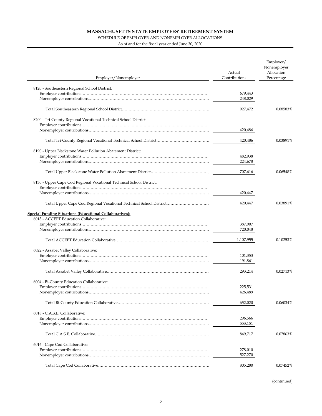### SCHEDULE OF EMPLOYER AND NONEMPLOYER ALLOCATIONS

As of and for the fiscal year ended June 30, 2020

| Employer/Nonemployer                                                 | Actual<br>Contributions | Employer/<br>Nonemployer<br>Allocation<br>Percentage |
|----------------------------------------------------------------------|-------------------------|------------------------------------------------------|
|                                                                      |                         |                                                      |
| 8120 - Southeastern Regional School District:                        |                         |                                                      |
|                                                                      | 679,443                 |                                                      |
|                                                                      | 248,029                 |                                                      |
|                                                                      | 927,472                 | 0.08583%                                             |
|                                                                      |                         |                                                      |
| 8200 - Tri-County Regional Vocational Technical School District:     |                         |                                                      |
|                                                                      | 420,486                 |                                                      |
|                                                                      |                         |                                                      |
|                                                                      | 420,486                 | 0.03891%                                             |
| 8190 - Upper Blackstone Water Pollution Abatement District:          |                         |                                                      |
|                                                                      | 482,938                 |                                                      |
|                                                                      | 224,678                 |                                                      |
|                                                                      | 707,616                 | 0.06548%                                             |
|                                                                      |                         |                                                      |
| 8130 - Upper Cape Cod Regional Vocational Technical School District: |                         |                                                      |
|                                                                      |                         |                                                      |
|                                                                      | 420,447                 |                                                      |
| Total Upper Cape Cod Regional Vocational Technical School District   | 420,447                 | 0.03891%                                             |
| <b>Special Funding Situations (Educational Collaboratives):</b>      |                         |                                                      |
| 6013 - ACCEPT Education Collaborative:                               |                         |                                                      |
|                                                                      | 387,907                 |                                                      |
|                                                                      | 720,048                 |                                                      |
|                                                                      | 1,107,955               | 0.10253%                                             |
| 6022 - Assabet Valley Collaborative:                                 |                         |                                                      |
|                                                                      | 101,353                 |                                                      |
|                                                                      | 191,861                 |                                                      |
|                                                                      |                         |                                                      |
|                                                                      | 293,214                 | 0.02713%                                             |
| 6004 - Bi-County Education Collaborative:                            |                         |                                                      |
|                                                                      | 225,531                 |                                                      |
|                                                                      | 426,489                 |                                                      |
|                                                                      |                         |                                                      |
|                                                                      | 652,020                 | 0.06034%                                             |
| 6018 - C.A.S.E. Collaborative:                                       |                         |                                                      |
|                                                                      | 296,566                 |                                                      |
|                                                                      | 553,151                 |                                                      |
|                                                                      | 849,717                 | 0.07863%                                             |
| 6016 - Cape Cod Collaborative:                                       |                         |                                                      |
|                                                                      | 278,010                 |                                                      |
|                                                                      | 527,270                 |                                                      |
|                                                                      |                         |                                                      |
|                                                                      | 805,280                 | 0.07452%                                             |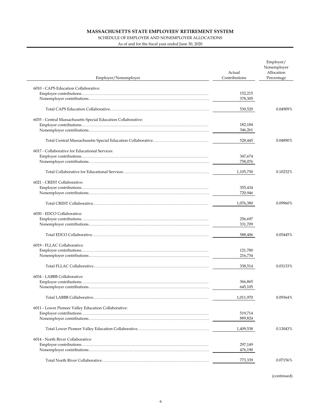### SCHEDULE OF EMPLOYER AND NONEMPLOYER ALLOCATIONS

 $\overline{a}$ 

As of and for the fiscal year ended June 30, 2020

|                                                               | Actual<br>Contributions | Employer/<br>Nonemployer<br>Allocation |
|---------------------------------------------------------------|-------------------------|----------------------------------------|
| Employer/Nonemployer                                          |                         | Percentage                             |
| 6010 - CAPS Education Collaborative:                          |                         |                                        |
|                                                               | 152,215                 |                                        |
|                                                               | 378,305                 |                                        |
|                                                               | 530,520                 | 0.04909%                               |
|                                                               |                         |                                        |
| 6035 - Central Massachusetts Special Education Collaborative: | 182,184                 |                                        |
|                                                               | 346,261                 |                                        |
|                                                               |                         |                                        |
|                                                               | 528,445                 | 0.04890%                               |
| 6017 - Collaborative for Educational Services:                |                         |                                        |
|                                                               | 347,674                 |                                        |
|                                                               | 758,076                 |                                        |
|                                                               | 1,105,750               | 0.10232%                               |
|                                                               |                         |                                        |
| 6021 - CREST Collaborative:                                   |                         |                                        |
|                                                               | 355,434                 |                                        |
|                                                               | 720,946                 |                                        |
|                                                               | 1,076,380               | 0.09960%                               |
| 6030 - EDCO Collaborative:                                    |                         |                                        |
|                                                               | 256,697                 |                                        |
|                                                               | 331,709                 |                                        |
|                                                               | 588,406                 | 0.05445%                               |
|                                                               |                         |                                        |
| 6019 - FLLAC Collaborative:                                   |                         |                                        |
|                                                               | 121,780                 |                                        |
|                                                               | 216,734                 |                                        |
|                                                               | 338,514                 | 0.03133%                               |
| 6034 - LABBB Collaborative:                                   |                         |                                        |
|                                                               | 366,865                 |                                        |
|                                                               | 645,105                 |                                        |
|                                                               | 1,011,970               | 0.09364%                               |
| 6011 - Lower Pioneer Valley Education Collaborative:          |                         |                                        |
|                                                               | 519,714                 |                                        |
|                                                               | 889,824                 |                                        |
|                                                               | 1,409,538               | 0.13043%                               |
| 6014 - North River Collaborative:                             |                         |                                        |
|                                                               | 297,149                 |                                        |
|                                                               | 476,190                 |                                        |
|                                                               | 773,339                 | 0.07156%                               |
|                                                               |                         |                                        |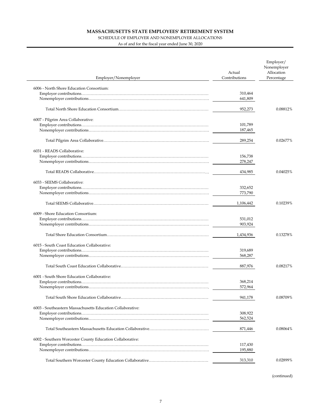### SCHEDULE OF EMPLOYER AND NONEMPLOYER ALLOCATIONS

As of and for the fiscal year ended June 30, 2020

| Employer/Nonemployer                                       | Actual<br>Contributions | Employer/<br>Nonemployer<br>Allocation<br>Percentage |
|------------------------------------------------------------|-------------------------|------------------------------------------------------|
| 6006 - North Shore Education Consortium:                   |                         |                                                      |
|                                                            | 310,464                 |                                                      |
|                                                            | 641,809                 |                                                      |
|                                                            |                         |                                                      |
|                                                            | 952,273                 | 0.08812%                                             |
| 6007 - Pilgrim Area Collaborative:                         |                         |                                                      |
|                                                            | 101,789                 |                                                      |
|                                                            | 187,465                 |                                                      |
|                                                            |                         |                                                      |
|                                                            | 289,254                 | 0.02677%                                             |
| 6031 - READS Collaborative:                                |                         |                                                      |
|                                                            | 156,738                 |                                                      |
|                                                            | 278,247                 |                                                      |
|                                                            |                         | 0.04025%                                             |
|                                                            | 434,985                 |                                                      |
| 6033 - SEEMS Collaborative:                                |                         |                                                      |
|                                                            | 332,652                 |                                                      |
|                                                            | 773,790                 |                                                      |
|                                                            | 1,106,442               | 0.10239%                                             |
| 6009 - Shore Education Consortium:                         |                         |                                                      |
|                                                            | 531,012                 |                                                      |
|                                                            | 903,924                 |                                                      |
|                                                            | 1,434,936               | 0.13278%                                             |
|                                                            |                         |                                                      |
| 6015 - South Coast Education Collaborative:                |                         |                                                      |
|                                                            | 319,689                 |                                                      |
|                                                            | 568,287                 |                                                      |
|                                                            | 887,976                 | 0.08217%                                             |
| 6001 - South Shore Education Collaborative:                |                         |                                                      |
|                                                            | 368,214                 |                                                      |
|                                                            | 572,964                 |                                                      |
|                                                            | 941,178                 | 0.08709%                                             |
| 6003 - Southeastern Massachusetts Education Collaborative: |                         |                                                      |
|                                                            | 308,922                 |                                                      |
|                                                            | 562,524                 |                                                      |
|                                                            |                         |                                                      |
|                                                            | 871,446                 | 0.08064%                                             |
| 6002 - Southern Worcester County Education Collaborative:  |                         |                                                      |
|                                                            | 117,430                 |                                                      |
|                                                            | 195,880                 |                                                      |
|                                                            |                         |                                                      |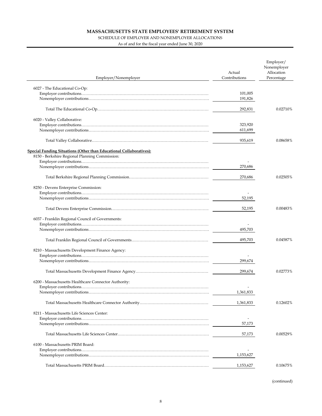### SCHEDULE OF EMPLOYER AND NONEMPLOYER ALLOCATIONS

As of and for the fiscal year ended June 30, 2020

| Employer/Nonemployer                                                | Actual<br>Contributions | Employer/<br>Nonemployer<br>Allocation<br>Percentage |
|---------------------------------------------------------------------|-------------------------|------------------------------------------------------|
|                                                                     |                         |                                                      |
| 6027 - The Educational Co-Op:                                       | 101,005<br>191,826      |                                                      |
|                                                                     | 292,831                 | 0.02710%                                             |
| 6020 - Valley Collaborative:                                        |                         |                                                      |
|                                                                     | 323,920                 |                                                      |
|                                                                     | 611,699                 |                                                      |
|                                                                     | 935,619                 | 0.08658%                                             |
| Special Funding Situations (Other than Educational Collaboratives): |                         |                                                      |
| 8150 - Berkshire Regional Planning Commission:                      |                         |                                                      |
|                                                                     |                         |                                                      |
|                                                                     | 270,686                 |                                                      |
|                                                                     | 270,686                 | 0.02505%                                             |
| 8250 - Devens Enterprise Commission:                                |                         |                                                      |
|                                                                     |                         |                                                      |
|                                                                     | 52,195                  |                                                      |
|                                                                     | 52,195                  | 0.00483%                                             |
| 6037 - Franklin Regional Council of Governments:                    |                         |                                                      |
|                                                                     |                         |                                                      |
|                                                                     | 495,703                 |                                                      |
|                                                                     | 495,703                 | 0.04587%                                             |
| 8210 - Massachusetts Development Finance Agency:                    |                         |                                                      |
|                                                                     |                         |                                                      |
|                                                                     | 299,674                 |                                                      |
|                                                                     | 299,674                 | 0.02773%                                             |
| 6200 - Massachusetts Healthcare Connector Authority:                |                         |                                                      |
|                                                                     |                         |                                                      |
|                                                                     | 1,361,833               |                                                      |
|                                                                     | 1,361,833               | 0.12602%                                             |
| 8211 - Massachusetts Life Sciences Center:                          |                         |                                                      |
|                                                                     |                         |                                                      |
|                                                                     | 57,173                  |                                                      |
|                                                                     | 57,173                  | 0.00529%                                             |
| 6100 - Massachusetts PRIM Board:                                    |                         |                                                      |
|                                                                     |                         |                                                      |
|                                                                     | 1,153,627               |                                                      |
|                                                                     | 1,153,627               | 0.10675%                                             |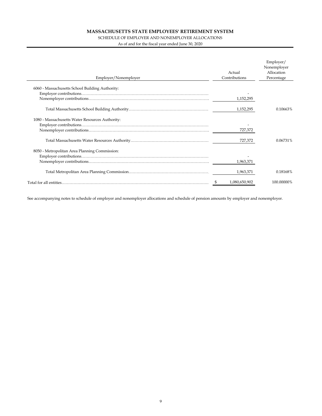### SCHEDULE OF EMPLOYER AND NONEMPLOYER ALLOCATIONS

As of and for the fiscal year ended June 30, 2020

| Employer/Nonemployer                            | Actual<br>Contributions | Employer/<br>Nonemployer<br>Allocation<br>Percentage |
|-------------------------------------------------|-------------------------|------------------------------------------------------|
| 6060 - Massachusetts School Building Authority: |                         |                                                      |
|                                                 |                         |                                                      |
|                                                 | 1,152,295               |                                                      |
|                                                 | 1,152,295               | 0.10663%                                             |
| 1080 - Massachusetts Water Resources Authority: |                         |                                                      |
|                                                 |                         |                                                      |
|                                                 | 727,372                 |                                                      |
|                                                 | 727,372                 | 0.06731%                                             |
| 8050 - Metropolitan Area Planning Commission:   |                         |                                                      |
|                                                 |                         |                                                      |
|                                                 | 1,963,371               |                                                      |
|                                                 | 1,963,371               | 0.18168%                                             |
|                                                 | 1,080,650,902           | 100.00000%                                           |

See accompanying notes to schedule of employer and nonemployer allocations and schedule of pension amounts by employer and nonemployer.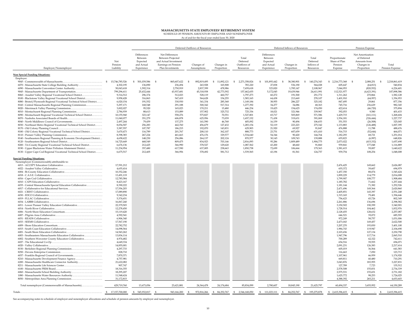**MASSACHUSETTS STATE EMPLOYEES' RETIREMENT SYSTEM** SCHEDULE OF PENSION AMOUNTS BY EMPLOYER AND NONEMPLOYER

As of and for the fiscal year ended June 30, 2020

|                                                                                                                               |                             |                                                                |                                                                                                          | Deferred Outflows of Resources |                          |                                               | Deferred Inflows of Resources                                  |                            | Pension Expense                              |                                                      |                                                                             |                               |
|-------------------------------------------------------------------------------------------------------------------------------|-----------------------------|----------------------------------------------------------------|----------------------------------------------------------------------------------------------------------|--------------------------------|--------------------------|-----------------------------------------------|----------------------------------------------------------------|----------------------------|----------------------------------------------|------------------------------------------------------|-----------------------------------------------------------------------------|-------------------------------|
| Employer/Nonemployer                                                                                                          | Net<br>Pension<br>Liability | Differences<br>Between<br>Expected<br>and Actual<br>Experience | Net Differences<br>Between Projected<br>and Actual Investment<br>Earnings on Pension<br>Plan Investments | Changes of<br>Assumptions      | Changes in<br>Proportion | Total<br>Deferred<br>Outflows of<br>Resources | Differences<br>Between<br>Expected<br>and Actual<br>Experience | Changes in<br>Proportion   | Total<br>Deferred<br>Inflows of<br>Resources | Proportionate<br>Share of Plan<br>Pension<br>Expense | Net Amortization<br>of Deferred<br>Amounts from<br>Changes in<br>Proportion | Total<br>Pension Expense      |
| <b>Non Special Funding Situations:</b>                                                                                        |                             |                                                                |                                                                                                          |                                |                          |                                               |                                                                |                            |                                              |                                                      |                                                                             |                               |
| Employer:                                                                                                                     | 15,746,785,526              | \$ 501,039,586                                                 | - \$<br>865,607,622                                                                                      | 892,819,495<br>$\mathbb{S}$    | -S<br>11,892,121         | -S<br>2,271,358,824                           | \$<br>101,893,442                                              | -S<br>38,380,901           | 140,274,343<br>-S                            | \$2,216,773,368                                      | - \$<br>2,088,251                                                           | 2,218,861,619<br>-S           |
| 6070 - Massachusetts State College Building Authority                                                                         | 4,302,195                   | 136,890                                                        | 236,494                                                                                                  | 243,928                        | 165,908                  | 783,220                                       | 27,838                                                         | 536,190                    | 564,028                                      | 605,647                                              | (64, 813)                                                                   | 540,834                       |
| 6090 - Massachusetts Convention Center Authority                                                                              | 50,043,618                  | 1,592,314                                                      | 2,750,919                                                                                                | 2,837,399                      | 478,986                  | 7,659,618                                     | 323,820                                                        | 1,785,147                  | 2,108,967                                    | 7,044,953                                            | (820, 552)                                                                  | 6,224,401                     |
| 9045 - Massachusetts Department of Transportation                                                                             | 799,296,611                 | 25,432,444                                                     | 43,937,681                                                                                               | 45,318,938                     | 42,773,592               | 157,462,655                                   | 5,172,045                                                      | 19,439,946                 | 24,611,991                                   | 112,521,977                                          | (4,623,391)                                                                 | 107,898,586                   |
| 8060 - Assabet Valley Regional Vocational School District                                                                     | 9,314,512                   | 296,374                                                        | 512,023                                                                                                  | 528,119                        | 460,757                  | 1,797,273                                     | 60,272                                                         | 191,500                    | 251,772                                      | 1,311,262                                            | 270,866                                                                     | 1,582,128                     |
| 8100 - Blackstone Valley Regional Vocational School District                                                                  | 9,958,428                   | 316,863                                                        | 547,419                                                                                                  | 564,628                        | 154,255                  | 1,583,165                                     | 64,438                                                         | 213,669                    | 278,107                                      | 1,401,910                                            | (44, 957)                                                                   | 1,356,953                     |
| 8080 - Bristol/Plymouth Regional Vocational Technical School District                                                         | 6,020,154                   | 191,552                                                        | 330,930                                                                                                  | 341,334                        | 285,368                  | 1,149,184                                     | 38,955                                                         | 286,227                    | 325,182                                      | 847,495                                              | 29,861                                                                      | 877,356                       |
| 8160 - Central Massachusetts Regional Planning Commission                                                                     | 5,297,171                   | 168,548                                                        | 291,188                                                                                                  | 300,342                        | 517,314                  | 1,277,392                                     | 34,277                                                         | 34,086                     | 68,363                                       | 745,716                                              | 236,629                                                                     | 982,345                       |
| 8010 - Montachusett Regional Planning Commission                                                                              | 3,002,027<br>2,784,939      | 95,520<br>88,613                                               | 165,023<br>153,089                                                                                       | 170,211<br>157,902             | 15,480<br>325,732        | 446,234<br>725,336                            | 19,425<br>18,021                                               | 154,625<br>321,946         | 174,050<br>339,967                           | 422,614<br>392,053                                   | (46, 720)<br>9,580                                                          | 375,894<br>401,633            |
| 8090 - Montachusett Regional Vocational Technical School District                                                             | 10,155,940                  | 323,147                                                        | 558,276                                                                                                  | 575,827                        | 70,551                   | 1,527,801                                     | 65,717                                                         | 505,869                    | 571,586                                      | 1,429,715                                            | (161, 111)                                                                  | 1,268,604                     |
|                                                                                                                               | 11,040,077                  | 351,279                                                        | 606,878                                                                                                  | 625,956                        | 73,039                   | 1,657,152                                     | 71,438                                                         | 319,631                    | 391,069                                      | 1,554,181                                            | (326, 444)                                                                  | 1,227,737                     |
| 8040 - North Middlesex Council of Governments                                                                                 | 2,497,244                   | 79,459                                                         | 137,275                                                                                                  | 141,590                        | 46,768                   | 405,092                                       | 16,159                                                         | 90.494                     | 106,653                                      | 351,553                                              | (26, 508)                                                                   | 325,045                       |
| 8030 - Northeast Metro Regional Vocational Technical School District                                                          | 8,054,507                   | 256,283                                                        | 442,760                                                                                                  | 456,679                        | 127,432                  | 1,283,154                                     | 52,119                                                         | 223,223                    | 275,342                                      | 1,133,883                                            | (126, 488)                                                                  | 1,007,395                     |
|                                                                                                                               | 3,387,557                   | 107,787                                                        | 186,215                                                                                                  | 192,070                        | 143,831                  | 629,903                                       | 21,920                                                         | 69,927                     | 91,847                                       | 476,888                                              | 11,788                                                                      | 488,676                       |
| 8180 - Old Colony Regional Vocational Technical School District                                                               | 3,670,473                   | 116,789                                                        | 201,767                                                                                                  | 208,110                        | 362,107                  | 888,773                                       | 23,751                                                         | 607,659                    | 631,410                                      | 516,715                                              | (52, 644)                                                                   | 464,071                       |
|                                                                                                                               | 8,398,383                   | 267,224                                                        | 461,663                                                                                                  | 476,176                        | 329,577                  | 1,534,640                                     | 54,344                                                         | 90,420                     | 144,764                                      | 1,182,293                                            | 68,721                                                                      | 1,251,014                     |
| 8140 - Southeastern Regional Planning & Economic Development District                                                         | 4,658,622                   | 148,230                                                        | 256,086                                                                                                  | 264,137                        | 202,124                  | 870,577                                       | 30,145                                                         | 109,743                    | 139,888                                      | 655,823                                              | (6,997)                                                                     | 648,826                       |
|                                                                                                                               | 14,725,649<br>6,676,136     | 468,549<br>212.425                                             | 809,475<br>366,990                                                                                       | 834,923<br>378,527             | 703,146<br>129.620       | 2,816,093<br>1,087,562                        | 95,286<br>43,200                                               | 1,809,489<br>48,660        | 1,904,775<br>91,860                          | 2,073,022<br>939,841                                 | (415, 332)<br>177,048                                                       | 1,657,690<br>1,116,889        |
| 8200 - Tri-County Regional Vocational Technical School District<br>8190 - Upper Blackstone Water Pollution Abatement District | 11.234.954                  | 357,480                                                        | 617,590                                                                                                  | 637,005                        | 238,663                  | 1.850.738                                     | 72,699                                                         | 106,664                    | 179,363                                      | 1,581,615                                            | 59,007                                                                      | 1,640,622                     |
| 8130 - Upper Cape Cod Regional Vocational Technical School District                                                           | 6,675,517                   | 212,405                                                        | 366,956                                                                                                  | 378,492                        | 581,712                  | 1,539,565                                     | 43,196                                                         | 81,561                     | 124,757                                      | 939,754                                              | 108,254                                                                     | 1,048,008                     |
| <b>Special Funding Situations:</b>                                                                                            |                             |                                                                |                                                                                                          |                                |                          |                                               |                                                                |                            |                                              |                                                      |                                                                             |                               |
| Nonemployer (Commonwealth) attributable to:                                                                                   |                             |                                                                |                                                                                                          |                                |                          |                                               |                                                                |                            |                                              |                                                      |                                                                             |                               |
|                                                                                                                               | 17,591,212                  |                                                                |                                                                                                          |                                |                          |                                               |                                                                |                            |                                              | 2,476,425                                            | 149.662                                                                     | 2,626,087                     |
|                                                                                                                               | 4.655.414                   |                                                                |                                                                                                          |                                |                          |                                               |                                                                |                            |                                              | 655,372                                              | 39,607                                                                      | 694,979                       |
|                                                                                                                               | 10,352,246                  |                                                                |                                                                                                          |                                |                          |                                               |                                                                |                            |                                              | 1,457,350                                            | 88.074                                                                      | 1,545,424                     |
|                                                                                                                               | 13.491.119                  |                                                                |                                                                                                          |                                |                          |                                               |                                                                |                            |                                              | 1.899.229                                            | 114,779                                                                     | 2,014,008                     |
|                                                                                                                               | 12.785.584                  |                                                                |                                                                                                          |                                |                          |                                               |                                                                |                            |                                              | 1,799,907                                            | 108,777                                                                     | 1,908,684                     |
|                                                                                                                               | 8,423,167                   |                                                                |                                                                                                          |                                |                          |                                               |                                                                |                            |                                              | 1,185,782                                            | 71.662                                                                      | 1,257,444                     |
| 6035 - Central Massachusetts Special Education Collaborative                                                                  | 8,390,222<br>17,556,203     |                                                                |                                                                                                          |                                |                          |                                               |                                                                |                            |                                              | 1,181,144<br>2,471,496                               | 71,382<br>149,364                                                           | 1,252,526<br>2,620,860        |
|                                                                                                                               | 17,089,890                  |                                                                |                                                                                                          |                                |                          |                                               |                                                                |                            |                                              | 2,405,851                                            | 145,397                                                                     | 2,551,248                     |
|                                                                                                                               | 9,342,234                   |                                                                |                                                                                                          |                                |                          |                                               |                                                                |                            |                                              | 1,315,165                                            | 79,481                                                                      | 1,394,646                     |
|                                                                                                                               | 5,374,651                   |                                                                |                                                                                                          |                                |                          |                                               |                                                                |                            |                                              | 756,623                                              | 45,726                                                                      | 802,349                       |
|                                                                                                                               | 16,067,240                  |                                                                |                                                                                                          |                                |                          |                                               |                                                                |                            |                                              | 2,261,886                                            | 136,696                                                                     | 2,398,582                     |
| 6011 - Lower Pioneer Valley Education Collaborative                                                                           | 22,379,503                  |                                                                |                                                                                                          |                                |                          |                                               |                                                                |                            |                                              | 3,150,502                                            | 190,399                                                                     | 3,340,901                     |
|                                                                                                                               | 12,278,450                  |                                                                |                                                                                                          |                                |                          |                                               |                                                                |                            |                                              | 1,728,514                                            | 104,462                                                                     | 1,832,976                     |
|                                                                                                                               | 15,119,420                  |                                                                |                                                                                                          |                                |                          |                                               |                                                                |                            |                                              | 2,128,455                                            | 128,632                                                                     | 2,257,087                     |
|                                                                                                                               | 4,592,541                   |                                                                |                                                                                                          |                                |                          |                                               |                                                                |                            |                                              | 646,521                                              | 39,072                                                                      | 685,593                       |
|                                                                                                                               | 6,906,340                   |                                                                |                                                                                                          |                                |                          |                                               |                                                                |                            |                                              | 972,249                                              | 58,757                                                                      | 1,031,006                     |
|                                                                                                                               | 17,567,190<br>22,782,752    |                                                                |                                                                                                          |                                |                          |                                               |                                                                |                            |                                              | 2,473,043<br>3,207,270                               | 149,457<br>193,830                                                          | 2,622,500<br>3,401,100        |
|                                                                                                                               | 14,098,564                  |                                                                |                                                                                                          |                                |                          |                                               |                                                                |                            |                                              | 1,984,743                                            | 119,947                                                                     | 2,104,690                     |
|                                                                                                                               | 14,943,262                  |                                                                |                                                                                                          |                                |                          |                                               |                                                                |                            |                                              | 2,103,656                                            | 127,134                                                                     | 2,230,790                     |
| 6003 - Southeastern Massachusetts Education Collaborative                                                                     | 13,836,114                  |                                                                |                                                                                                          |                                |                          |                                               |                                                                |                            |                                              | 1,947,796                                            | 117,714                                                                     | 2,065,510                     |
| 6002 - Southern Worcester County Education Collaborative                                                                      | 4,974,482                   |                                                                |                                                                                                          |                                |                          |                                               |                                                                |                            |                                              | 700,289                                              | 42,322                                                                      | 742,611                       |
|                                                                                                                               | 4,649,334                   |                                                                |                                                                                                          |                                |                          |                                               |                                                                |                            |                                              | 654,516                                              | 39,555                                                                      | 694,071                       |
|                                                                                                                               | 14,855,001                  |                                                                |                                                                                                          |                                |                          |                                               |                                                                |                            |                                              | 2,091,231                                            | 126,383                                                                     | 2,217,614                     |
|                                                                                                                               | 4,297,733                   |                                                                |                                                                                                          |                                |                          |                                               |                                                                |                            |                                              | 605,019                                              | 36,564                                                                      | 641,583                       |
|                                                                                                                               | 828,710                     |                                                                |                                                                                                          |                                |                          |                                               |                                                                |                            |                                              | 116,663                                              | 7,050                                                                       | 123,713                       |
| 6037 - Franklin Regional Council of Governments<br>8210 - Massachusetts Development Finance Agency                            | 7,870,371<br>4,757,981      |                                                                |                                                                                                          |                                |                          |                                               |                                                                |                            |                                              | 1,107,961<br>669,811                                 | 66,959<br>40,480                                                            | 1,174,920<br>710,291          |
| 6200 - Massachusetts Healthcare Connector Authority                                                                           | 21,622,082                  |                                                                |                                                                                                          |                                |                          |                                               |                                                                |                            |                                              | 3,043,876                                            | 183,955                                                                     | 3,227,831                     |
|                                                                                                                               | 907,747                     |                                                                |                                                                                                          |                                |                          |                                               |                                                                |                            |                                              | 127,789                                              | 7,723                                                                       | 135,512                       |
|                                                                                                                               | 18,316,355                  |                                                                |                                                                                                          |                                |                          |                                               |                                                                |                            |                                              | 2,578,508                                            | 155,831                                                                     | 2,734,339                     |
| 6060 - Massachusetts School Building Authority                                                                                | 18,295,207                  |                                                                |                                                                                                          |                                |                          |                                               |                                                                |                            |                                              | 2,575,531                                            | 155,651                                                                     | 2,731,182                     |
| 1080 - Massachusetts Water Resources Authority                                                                                | 11,548,624                  |                                                                |                                                                                                          |                                |                          |                                               |                                                                |                            |                                              | 1,625,772                                            | 98,253                                                                      | 1,724,025                     |
|                                                                                                                               | 31,172,815                  |                                                                |                                                                                                          |                                |                          |                                               |                                                                |                            |                                              | 4,388,392                                            | 265,211                                                                     | 4,653,603                     |
| Total nonemployer (Commonwealth of Massachusetts)                                                                             | 429,719,760                 | 13,673,056                                                     | 23,621,881                                                                                               | 24,364,478                     | 24,174,684               | 85,834,099                                    | 2,780,607                                                      | 18,845,190                 | 21,625,797                                   | 60,494,337                                           | 3,655,952                                                                   | 64,150,289                    |
| Totals.                                                                                                                       | \$17,157,700,000            | \$ 545,932,817                                                 | 943,166,200<br>$\sim$                                                                                    | $\mathcal{L}$<br>972,816,266   | \$ 84,252,767            | \$ 2,546,168,050                              | \$ 111,023,111                                                 | 84,252,767<br>$\mathbf{s}$ | \$195,275,878                                | \$2,415,396,615                                      | $\sim$                                                                      | 2,415,396,615<br>$\mathbf{S}$ |

See accompanying notes to schedule of employer and nonemployer allocations and schedule of pension amounts by employer and nonemployer.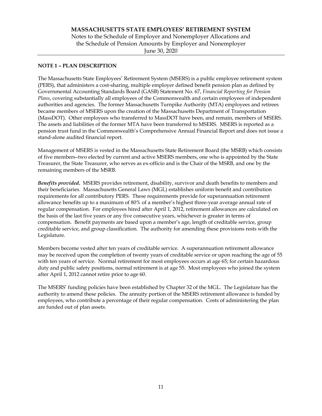### **NOTE 1 – PLAN DESCRIPTION**

The Massachusetts State Employees' Retirement System (MSERS) is a public employee retirement system (PERS), that administers a cost-sharing, multiple employer defined benefit pension plan as defined by Governmental Accounting Standards Board (GASB) Statement No. 67, *Financial Reporting for Pension Plans*, covering substantially all employees of the Commonwealth and certain employees of independent authorities and agencies. The former Massachusetts Turnpike Authority (MTA) employees and retirees became members of MSERS upon the creation of the Massachusetts Department of Transportation (MassDOT). Other employees who transferred to MassDOT have been, and remain, members of MSERS. The assets and liabilities of the former MTA have been transferred to MSERS. MSERS is reported as a pension trust fund in the Commonwealth's Comprehensive Annual Financial Report and does not issue a stand-alone audited financial report.

Management of MSERS is vested in the Massachusetts State Retirement Board (the MSRB) which consists of five members–two elected by current and active MSERS members, one who is appointed by the State Treasurer, the State Treasurer, who serves as ex-officio and is the Chair of the MSRB, and one by the remaining members of the MSRB.

*Benefits provided***.** MSERS provides retirement, disability, survivor and death benefits to members and their beneficiaries. Massachusetts General Laws (MGL) establishes uniform benefit and contribution requirements for all contributory PERS. These requirements provide for superannuation retirement allowance benefits up to a maximum of 80% of a member's highest three-year average annual rate of regular compensation. For employees hired after April 1, 2012, retirement allowances are calculated on the basis of the last five years or any five consecutive years, whichever is greater in terms of compensation. Benefit payments are based upon a member's age, length of creditable service, group creditable service, and group classification. The authority for amending these provisions rests with the Legislature.

Members become vested after ten years of creditable service. A superannuation retirement allowance may be received upon the completion of twenty years of creditable service or upon reaching the age of 55 with ten years of service. Normal retirement for most employees occurs at age 65; for certain hazardous duty and public safety positions, normal retirement is at age 55. Most employees who joined the system after April 1, 2012 cannot retire prior to age 60.

The MSERS' funding policies have been established by Chapter 32 of the MGL. The Legislature has the authority to amend these policies. The annuity portion of the MSERS retirement allowance is funded by employees, who contribute a percentage of their regular compensation. Costs of administering the plan are funded out of plan assets.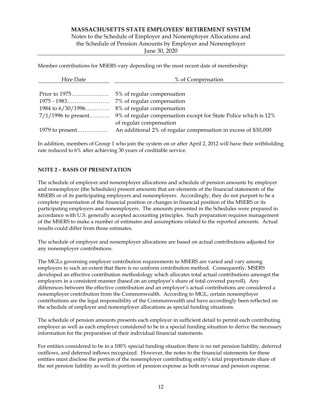Notes to the Schedule of Employer and Nonemployer Allocations and the Schedule of Pension Amounts by Employer and Nonemployer

June 30, 2020

Member contributions for MSERS vary depending on the most recent date of membership:

| Hire Date             | % of Compensation                                               |  |  |  |
|-----------------------|-----------------------------------------------------------------|--|--|--|
|                       |                                                                 |  |  |  |
|                       | 5% of regular compensation                                      |  |  |  |
|                       | 7% of regular compensation                                      |  |  |  |
| 1984 to $6/30/1996$   | 8% of regular compensation                                      |  |  |  |
| $7/1/1996$ to present | 9% of regular compensation except for State Police which is 12% |  |  |  |
|                       | of regular compensation                                         |  |  |  |
|                       | An additional 2% of regular compensation in excess of \$30,000  |  |  |  |

In addition, members of Group 1 who join the system on or after April 2, 2012 will have their withholding rate reduced to 6% after achieving 30 years of creditable service.

# **NOTE 2 – BASIS OF PRESENTATION**

The schedule of employer and nonemployer allocations and schedule of pension amounts by employer and nonemployer (the Schedules) present amounts that are elements of the financial statements of the MSERS or of its participating employers and nonemployers. Accordingly, they do not purport to be a complete presentation of the financial position or changes in financial position of the MSERS or its participating employers and nonemployers. The amounts presented in the Schedules were prepared in accordance with U.S. generally accepted accounting principles. Such preparation requires management of the MSERS to make a number of estimates and assumptions related to the reported amounts. Actual results could differ from those estimates.

The schedule of employer and nonemployer allocations are based on actual contributions adjusted for any nonemployer contributions.

The MGLs governing employer contribution requirements to MSERS are varied and vary among employers to such an extent that there is no uniform contribution method. Consequently, MSERS developed an effective contribution methodology which allocates total actual contributions amongst the employers in a consistent manner (based on an employer's share of total covered payroll). Any differences between the effective contribution and an employer's actual contributions are considered a nonemployer contribution from the Commonwealth. According to MGL, certain nonemployer contributions are the legal responsibility of the Commonwealth and have accordingly been reflected on the schedule of employer and nonemployer allocations as special funding situations.

The schedule of pension amounts presents each employer in sufficient detail to permit each contributing employer as well as each employer considered to be in a special funding situation to derive the necessary information for the preparation of their individual financial statements.

For entities considered to be in a 100% special funding situation there is no net pension liability, deferred outflows, and deferred inflows recognized. However, the notes to the financial statements for these entities must disclose the portion of the nonemployer contributing entity's total proportionate share of the net pension liability as well its portion of pension expense as both revenue and pension expense.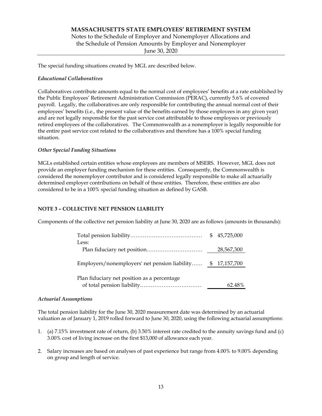# **MASSACHUSETTS STATE EMPLOYEES' RETIREMENT SYSTEM**  Notes to the Schedule of Employer and Nonemployer Allocations and the Schedule of Pension Amounts by Employer and Nonemployer June 30, 2020

The special funding situations created by MGL are described below.

# *Educational Collaboratives*

Collaboratives contribute amounts equal to the normal cost of employees' benefits at a rate established by the Public Employees' Retirement Administration Commission (PERAC), currently 5.6% of covered payroll. Legally, the collaboratives are only responsible for contributing the annual normal cost of their employees' benefits (i.e., the present value of the benefits earned by those employees in any given year) and are not legally responsible for the past service cost attributable to those employees or previously retired employees of the collaboratives. The Commonwealth as a nonemployer is legally responsible for the entire past service cost related to the collaboratives and therefore has a 100% special funding situation.

# *Other Special Funding Situations*

MGLs established certain entities whose employees are members of MSERS. However, MGL does not provide an employer funding mechanism for these entities. Consequently, the Commonwealth is considered the nonemployer contributor and is considered legally responsible to make all actuarially determined employer contributions on behalf of these entities. Therefore, these entities are also considered to be in a 100% special funding situation as defined by GASB.

### **NOTE 3 – COLLECTIVE NET PENSION LIABILITY**

Components of the collective net pension liability at June 30, 2020 are as follows (amounts in thousands):

|                                                             | \$45,725,000 |
|-------------------------------------------------------------|--------------|
| Less:                                                       |              |
|                                                             | 28,567,300   |
| Employers/nonemployers' net pension liability \$ 17,157,700 |              |
|                                                             |              |
| Plan fiduciary net position as a percentage                 | 62.48%       |
|                                                             |              |

### *Actuarial Assumptions*

The total pension liability for the June 30, 2020 measurement date was determined by an actuarial valuation as of January 1, 2019 rolled forward to June 30, 2020, using the following actuarial assumptions:

- 1. (a) 7.15% investment rate of return, (b) 3.50% interest rate credited to the annuity savings fund and (c) 3.00% cost of living increase on the first \$13,000 of allowance each year.
- 2. Salary increases are based on analyses of past experience but range from 4.00% to 9.00% depending on group and length of service.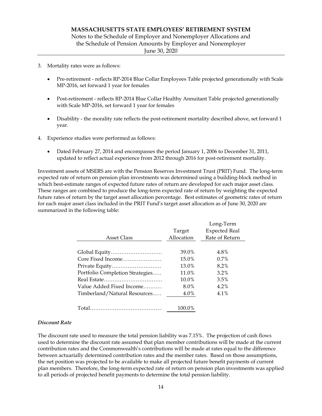- 3. Mortality rates were as follows:
	- Pre-retirement reflects RP-2014 Blue Collar Employees Table projected generationally with Scale MP-2016, set forward 1 year for females
	- Post-retirement reflects RP-2014 Blue Collar Healthy Annuitant Table projected generationally with Scale MP-2016, set forward 1 year for females
	- Disability the morality rate reflects the post-retirement mortality described above, set forward 1 year.
- 4. Experience studies were performed as follows:
	- Dated February 27, 2014 and encompasses the period January 1, 2006 to December 31, 2011, updated to reflect actual experience from 2012 through 2016 for post-retirement mortality.

Investment assets of MSERS are with the Pension Reserves Investment Trust (PRIT) Fund. The long-term expected rate of return on pension plan investments was determined using a building-block method in which best-estimate ranges of expected future rates of return are developed for each major asset class. These ranges are combined to produce the long-term expected rate of return by weighting the expected future rates of return by the target asset allocation percentage. Best estimates of geometric rates of return for each major asset class included in the PRIT Fund's target asset allocation as of June 30, 2020 are summarized in the following table:

|                                 |            | Long-Term            |
|---------------------------------|------------|----------------------|
|                                 | Target     | <b>Expected Real</b> |
| Asset Class                     | Allocation | Rate of Return       |
|                                 |            |                      |
| Global Equity                   | 39.0%      | 4.8%                 |
| Core Fixed Income               | 15.0%      | $0.7\%$              |
| Private Equity                  | 13.0%      | 8.2%                 |
| Portfolio Completion Strategies | 11.0%      | $3.2\%$              |
|                                 | 10.0%      | 3.5%                 |
| Value Added Fixed Income        | 8.0%       | 4.2%                 |
| Timberland/Natural Resources    | 4.0%       | 4.1%                 |
|                                 |            |                      |
|                                 | 100.0%     |                      |

### *Discount Rate*

The discount rate used to measure the total pension liability was 7.15%. The projection of cash flows used to determine the discount rate assumed that plan member contributions will be made at the current contribution rates and the Commonwealth's contributions will be made at rates equal to the difference between actuarially determined contribution rates and the member rates. Based on those assumptions, the net position was projected to be available to make all projected future benefit payments of current plan members. Therefore, the long-term expected rate of return on pension plan investments was applied to all periods of projected benefit payments to determine the total pension liability.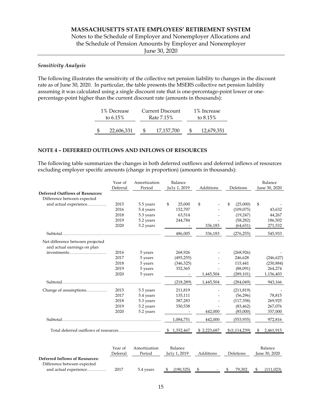# Notes to the Schedule of Employer and Nonemployer Allocations and the Schedule of Pension Amounts by Employer and Nonemployer

June 30, 2020

### *Sensitivity Analysis*

The following illustrates the sensitivity of the collective net pension liability to changes in the discount rate as of June 30, 2020. In particular, the table presents the MSERS collective net pension liability assuming it was calculated using a single discount rate that is one-percentage-point lower or onepercentage-point higher than the current discount rate (amounts in thousands):

| 1% Decrease |                           |  | Current Discount | 1% Increase |            |             |
|-------------|---------------------------|--|------------------|-------------|------------|-------------|
|             | to $6.15\%$<br>Rate 7.15% |  |                  |             |            | to $8.15\%$ |
|             |                           |  |                  |             |            |             |
|             | 22,606,331                |  | 17,157,700       |             | 12,679,351 |             |

# **NOTE 4 – DEFERRED OUTFLOWS AND INFLOWS OF RESOURCES**

The following table summarizes the changes in both deferred outflows and deferred inflows of resources excluding employer specific amounts (change in proportion) (amounts in thousands):

|                                        | Year of  | Amortization         | Balance        |             |                | Balance        |
|----------------------------------------|----------|----------------------|----------------|-------------|----------------|----------------|
|                                        | Deferral | Period               | Ju1y 1, 2019   | Additions   | Deletions      | June 30, 2020  |
| <b>Deferred Outflows of Resources:</b> |          |                      |                |             |                |                |
| Difference between expected            |          |                      |                |             |                |                |
| and actual experience                  | 2015     | 5.5 years            | \$<br>25,000   | \$          | (25,000)<br>S. | \$             |
|                                        | 2016     | 5.4 years            | 152,707        |             | (109, 075)     | 43,632         |
|                                        | 2018     | 5.3 years            | 63,514         |             | (19, 247)      | 44,267         |
|                                        | 2019     | 5.2 years            | 244,784        |             | (58, 282)      | 186,502        |
|                                        | 2020     | 5.2 years            |                | 336,183     | (64, 651)      | 271,532        |
|                                        |          |                      | 486,005        | 336,183     | (276, 255)     | 545,933        |
| Net difference between projected       |          |                      |                |             |                |                |
| and actual earnings on plan            |          |                      |                |             |                |                |
| investments                            | 2016     | 5 years              | 268,926        |             | (268, 926)     |                |
|                                        | 2017     | 5 years              | (493, 255)     |             | 246,628        | (246, 627)     |
|                                        | 2018     | 5 years              | (346, 325)     |             | 115,441        | (230, 884)     |
|                                        | 2019     | 5 years              | 352,365        |             | (88,091)       | 264,274        |
|                                        | 2020     | 5 years              |                | 1,445,504   | (289, 101)     | 1,156,403      |
|                                        |          |                      | (218, 289)     | 1,445,504   | (284, 049)     | 943,166        |
| Change of assumptions                  | 2015     | 5.5 years            | 211,819        |             | (211, 819)     |                |
|                                        | 2017     | 5.4 years            | 135,111        |             | (56, 296)      | 78,815         |
|                                        | 2018     | 5.3 years            | 387,283        |             | (117, 358)     | 269,925        |
|                                        | 2019     | 5.2 years            | 350,538        |             | (83, 462)      | 267,076        |
|                                        | 2020     | 5.2 years            |                | 442,000     | (85,000)       | 357,000        |
|                                        |          |                      | 1,084,751      | 442,000     | (553, 935)     | 972,816        |
|                                        |          |                      | \$1,352,467    | \$2,223,687 | \$(1,114,239)  | 2,461,915<br>S |
|                                        |          | Voor of Amortization | <b>Balance</b> |             |                | <b>Balance</b> |

|                                       | Year of  | Amortization | <b>Balance</b>  |           |           | Balance       |
|---------------------------------------|----------|--------------|-----------------|-----------|-----------|---------------|
|                                       | Deferral | Period       | Ju1y 1, 2019    | Additions | Deletions | June 30, 2020 |
| <b>Deferred Inflows of Resources:</b> |          |              |                 |           |           |               |
| Difference between expected           |          |              |                 |           |           |               |
| and actual experience                 | 2017     | 5.4 years    | (190.325)<br>S. | $\sim$    | 79.302    | (111.023)     |